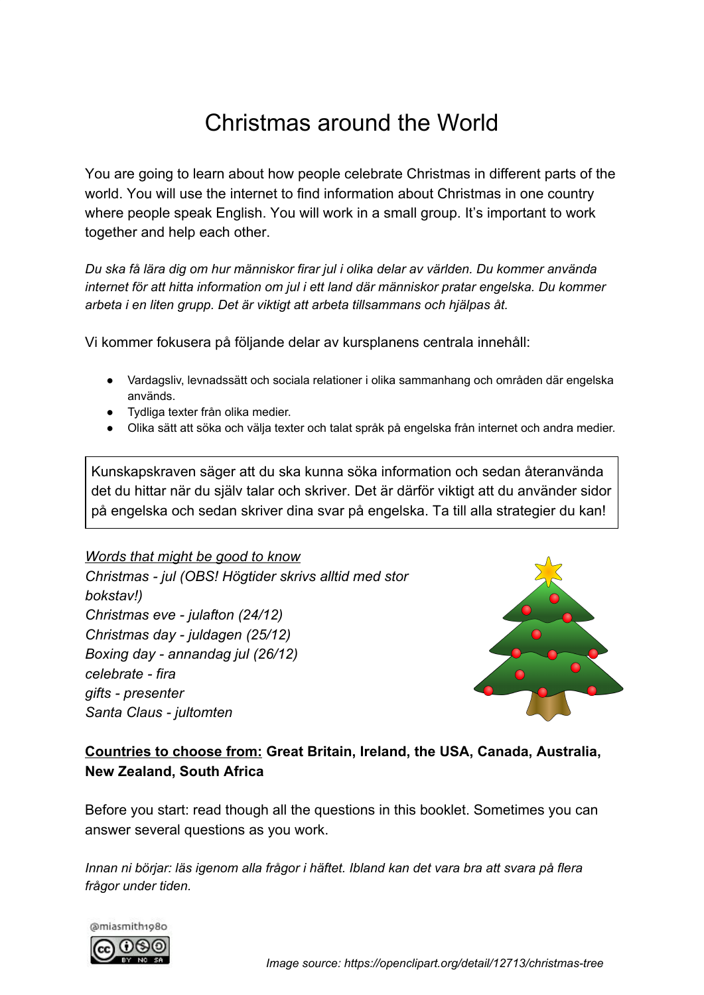# Christmas around the World

You are going to learn about how people celebrate Christmas in different parts of the world. You will use the internet to find information about Christmas in one country where people speak English. You will work in a small group. It's important to work together and help each other.

*Du ska få lära dig om hur människor firar jul i olika delar av världen. Du kommer använda internet för att hitta information om jul i ett land där människor pratar engelska. Du kommer arbeta i en liten grupp. Det är viktigt att arbeta tillsammans och hjälpas åt.*

Vi kommer fokusera på följande delar av kursplanens centrala innehåll:

- Vardagsliv, levnadssätt och sociala relationer i olika sammanhang och områden där engelska används.
- Tydliga texter från olika medier.
- Olika sätt att söka och välja texter och talat språk på engelska från internet och andra medier.

Kunskapskraven säger att du ska kunna söka information och sedan återanvända det du hittar när du själv talar och skriver. Det är därför viktigt att du använder sidor på engelska och sedan skriver dina svar på engelska. Ta till alla strategier du kan!

#### *Words that might be good to know*

*Christmas - jul (OBS! Högtider skrivs alltid med stor bokstav!) Christmas eve - julafton (24/12) Christmas day - juldagen (25/12) Boxing day - annandag jul (26/12) celebrate - fira gifts - presenter Santa Claus - jultomten*



### **Countries to choose from: Great Britain, Ireland, the USA, Canada, Australia, New Zealand, South Africa**

Before you start: read though all the questions in this booklet. Sometimes you can answer several questions as you work.

*Innan ni börjar: läs igenom alla frågor i häftet. Ibland kan det vara bra att svara på flera frågor under tiden.*

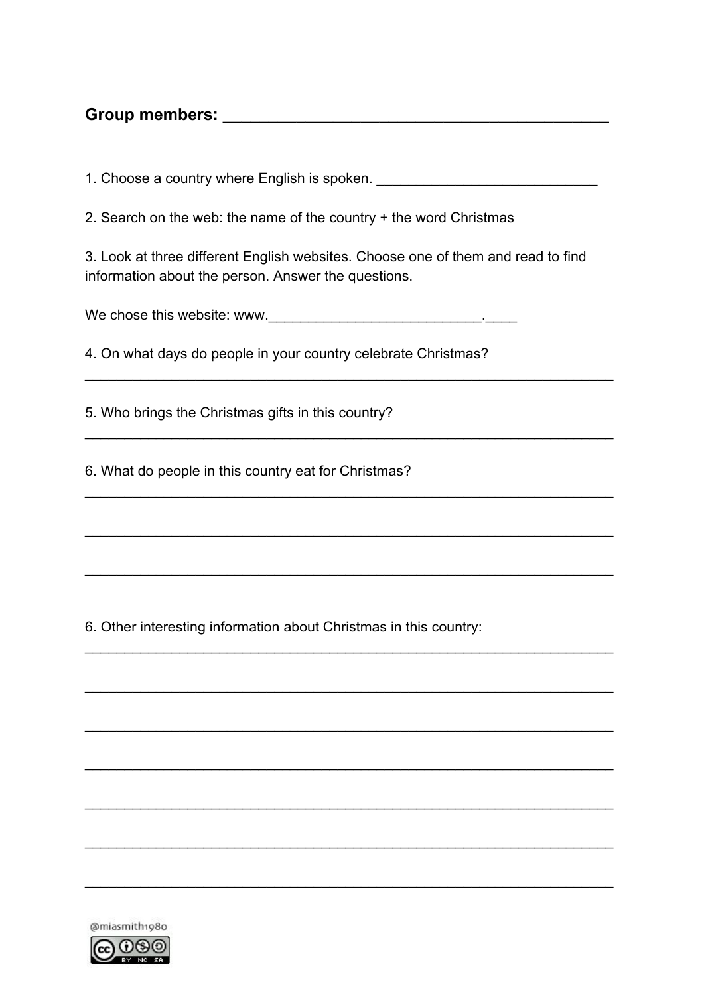## **Group members: \_\_\_\_\_\_\_\_\_\_\_\_\_\_\_\_\_\_\_\_\_\_\_\_\_\_\_\_\_\_\_\_\_\_\_\_\_\_\_\_\_\_**

1. Choose a country where English is spoken.

2. Search on the web: the name of the country + the word Christmas

3. Look at three different English websites. Choose one of them and read to find information about the person. Answer the questions.

 $\mathcal{L}_\mathcal{L} = \mathcal{L}_\mathcal{L} = \mathcal{L}_\mathcal{L} = \mathcal{L}_\mathcal{L} = \mathcal{L}_\mathcal{L} = \mathcal{L}_\mathcal{L} = \mathcal{L}_\mathcal{L} = \mathcal{L}_\mathcal{L} = \mathcal{L}_\mathcal{L} = \mathcal{L}_\mathcal{L} = \mathcal{L}_\mathcal{L} = \mathcal{L}_\mathcal{L} = \mathcal{L}_\mathcal{L} = \mathcal{L}_\mathcal{L} = \mathcal{L}_\mathcal{L} = \mathcal{L}_\mathcal{L} = \mathcal{L}_\mathcal{L}$ 

 $\mathcal{L}_\mathcal{L} = \mathcal{L}_\mathcal{L} = \mathcal{L}_\mathcal{L} = \mathcal{L}_\mathcal{L} = \mathcal{L}_\mathcal{L} = \mathcal{L}_\mathcal{L} = \mathcal{L}_\mathcal{L} = \mathcal{L}_\mathcal{L} = \mathcal{L}_\mathcal{L} = \mathcal{L}_\mathcal{L} = \mathcal{L}_\mathcal{L} = \mathcal{L}_\mathcal{L} = \mathcal{L}_\mathcal{L} = \mathcal{L}_\mathcal{L} = \mathcal{L}_\mathcal{L} = \mathcal{L}_\mathcal{L} = \mathcal{L}_\mathcal{L}$ 

 $\mathcal{L}_\mathcal{L} = \mathcal{L}_\mathcal{L} = \mathcal{L}_\mathcal{L} = \mathcal{L}_\mathcal{L} = \mathcal{L}_\mathcal{L} = \mathcal{L}_\mathcal{L} = \mathcal{L}_\mathcal{L} = \mathcal{L}_\mathcal{L} = \mathcal{L}_\mathcal{L} = \mathcal{L}_\mathcal{L} = \mathcal{L}_\mathcal{L} = \mathcal{L}_\mathcal{L} = \mathcal{L}_\mathcal{L} = \mathcal{L}_\mathcal{L} = \mathcal{L}_\mathcal{L} = \mathcal{L}_\mathcal{L} = \mathcal{L}_\mathcal{L}$ 

\_\_\_\_\_\_\_\_\_\_\_\_\_\_\_\_\_\_\_\_\_\_\_\_\_\_\_\_\_\_\_\_\_\_\_\_\_\_\_\_\_\_\_\_\_\_\_\_\_\_\_\_\_\_\_\_\_\_\_\_\_\_\_\_\_\_\_

\_\_\_\_\_\_\_\_\_\_\_\_\_\_\_\_\_\_\_\_\_\_\_\_\_\_\_\_\_\_\_\_\_\_\_\_\_\_\_\_\_\_\_\_\_\_\_\_\_\_\_\_\_\_\_\_\_\_\_\_\_\_\_\_\_\_\_

\_\_\_\_\_\_\_\_\_\_\_\_\_\_\_\_\_\_\_\_\_\_\_\_\_\_\_\_\_\_\_\_\_\_\_\_\_\_\_\_\_\_\_\_\_\_\_\_\_\_\_\_\_\_\_\_\_\_\_\_\_\_\_\_\_\_\_

\_\_\_\_\_\_\_\_\_\_\_\_\_\_\_\_\_\_\_\_\_\_\_\_\_\_\_\_\_\_\_\_\_\_\_\_\_\_\_\_\_\_\_\_\_\_\_\_\_\_\_\_\_\_\_\_\_\_\_\_\_\_\_\_\_\_\_

\_\_\_\_\_\_\_\_\_\_\_\_\_\_\_\_\_\_\_\_\_\_\_\_\_\_\_\_\_\_\_\_\_\_\_\_\_\_\_\_\_\_\_\_\_\_\_\_\_\_\_\_\_\_\_\_\_\_\_\_\_\_\_\_\_\_\_

\_\_\_\_\_\_\_\_\_\_\_\_\_\_\_\_\_\_\_\_\_\_\_\_\_\_\_\_\_\_\_\_\_\_\_\_\_\_\_\_\_\_\_\_\_\_\_\_\_\_\_\_\_\_\_\_\_\_\_\_\_\_\_\_\_\_\_

 $\mathcal{L}_\mathcal{L} = \mathcal{L}_\mathcal{L} = \mathcal{L}_\mathcal{L} = \mathcal{L}_\mathcal{L} = \mathcal{L}_\mathcal{L} = \mathcal{L}_\mathcal{L} = \mathcal{L}_\mathcal{L} = \mathcal{L}_\mathcal{L} = \mathcal{L}_\mathcal{L} = \mathcal{L}_\mathcal{L} = \mathcal{L}_\mathcal{L} = \mathcal{L}_\mathcal{L} = \mathcal{L}_\mathcal{L} = \mathcal{L}_\mathcal{L} = \mathcal{L}_\mathcal{L} = \mathcal{L}_\mathcal{L} = \mathcal{L}_\mathcal{L}$ 

 $\mathcal{L}_\mathcal{L} = \mathcal{L}_\mathcal{L} = \mathcal{L}_\mathcal{L} = \mathcal{L}_\mathcal{L} = \mathcal{L}_\mathcal{L} = \mathcal{L}_\mathcal{L} = \mathcal{L}_\mathcal{L} = \mathcal{L}_\mathcal{L} = \mathcal{L}_\mathcal{L} = \mathcal{L}_\mathcal{L} = \mathcal{L}_\mathcal{L} = \mathcal{L}_\mathcal{L} = \mathcal{L}_\mathcal{L} = \mathcal{L}_\mathcal{L} = \mathcal{L}_\mathcal{L} = \mathcal{L}_\mathcal{L} = \mathcal{L}_\mathcal{L}$ 

 $\mathcal{L}_\mathcal{L} = \mathcal{L}_\mathcal{L} + \mathcal{L}_\mathcal{L} + \mathcal{L}_\mathcal{L} + \mathcal{L}_\mathcal{L} + \mathcal{L}_\mathcal{L} + \mathcal{L}_\mathcal{L} + \mathcal{L}_\mathcal{L} + \mathcal{L}_\mathcal{L} + \mathcal{L}_\mathcal{L} + \mathcal{L}_\mathcal{L} + \mathcal{L}_\mathcal{L} + \mathcal{L}_\mathcal{L} + \mathcal{L}_\mathcal{L} + \mathcal{L}_\mathcal{L} + \mathcal{L}_\mathcal{L} + \mathcal{L}_\mathcal{L}$ 

We chose this website: www.

4. On what days do people in your country celebrate Christmas?

5. Who brings the Christmas gifts in this country?

6. What do people in this country eat for Christmas?

6. Other interesting information about Christmas in this country:

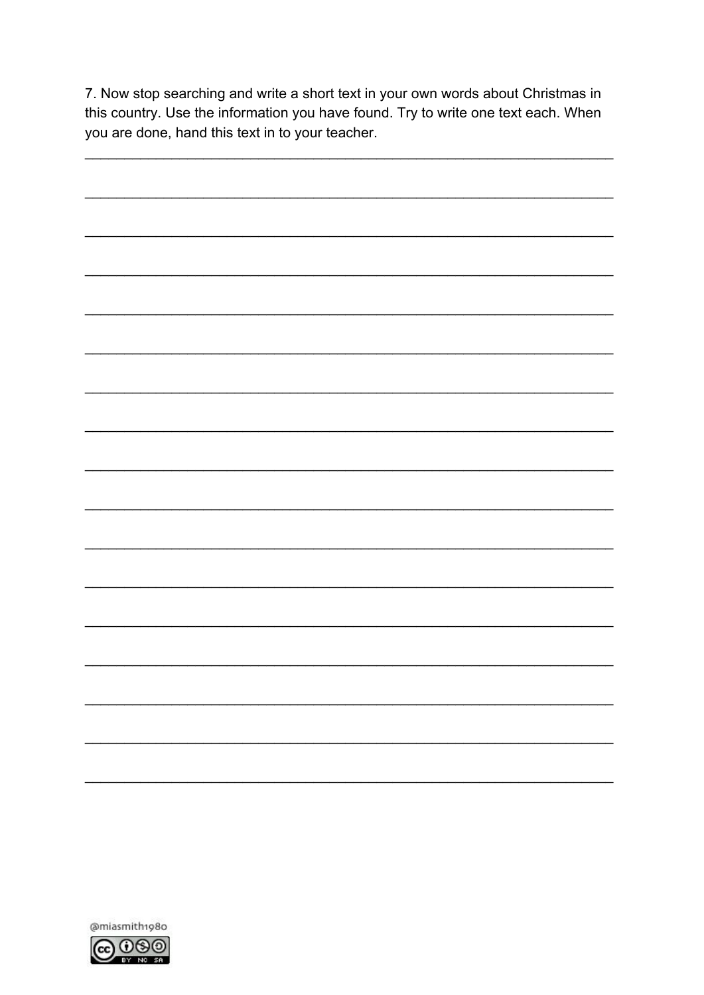7. Now stop searching and write a short text in your own words about Christmas in this country. Use the information you have found. Try to write one text each. When you are done, hand this text in to your teacher.